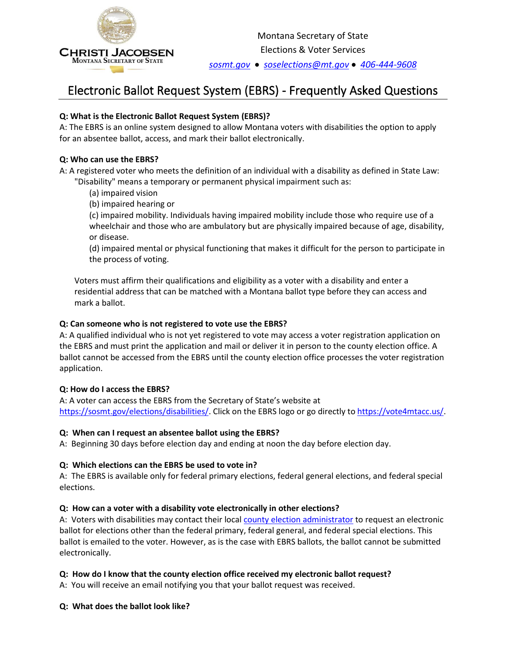

*[sosmt.gov](https://sosmt.gov/)*•*[soselections@mt.gov](mailto:soselections@mt.gov)* •*406-444-9608*

# Electronic Ballot Request System (EBRS) - Frequently Asked Questions

# **Q: What is the Electronic Ballot Request System (EBRS)?**

A: The EBRS is an online system designed to allow Montana voters with disabilities the option to apply for an absentee ballot, access, and mark their ballot electronically.

## **Q: Who can use the EBRS?**

A: A registered voter who meets the definition of an individual with a disability as defined in State Law: "Disability" means a temporary or permanent physical impairment such as:

(a) impaired vision

(b) impaired hearing or

(c) impaired mobility. Individuals having impaired mobility include those who require use of a wheelchair and those who are ambulatory but are physically impaired because of age, disability, or disease.

(d) impaired mental or physical functioning that makes it difficult for the person to participate in the process of voting.

Voters must affirm their qualifications and eligibility as a voter with a disability and enter a residential address that can be matched with a Montana ballot type before they can access and mark a ballot.

## **Q: Can someone who is not registered to vote use the EBRS?**

A: A qualified individual who is not yet registered to vote may access a voter registration application on the EBRS and must print the application and mail or deliver it in person to the county election office. A ballot cannot be accessed from the EBRS until the county election office processes the voter registration application.

## **Q: How do I access the EBRS?**

A: A voter can access the EBRS from the Secretary of State's website at [https://sosmt.gov/elections/disabilities/.](https://sosmt.gov/elections/disabilities/) Click on the EBRS logo or go directly to [https://vote4mtacc.us/.](https://www.vote4mtacc.us/)

## **Q: When can I request an absentee ballot using the EBRS?**

A: Beginning 30 days before election day and ending at noon the day before election day.

## **Q: Which elections can the EBRS be used to vote in?**

A: The EBRS is available only for federal primary elections, federal general elections, and federal special elections.

# **Q: How can a voter with a disability vote electronically in other elections?**

A: Voters with disabilities may contact their local [county election administrator](https://sosmt.gov/Portals/142/Elections/Forms/electionadministrators.pdf) to request an electronic ballot for elections other than the federal primary, federal general, and federal special elections. This ballot is emailed to the voter. However, as is the case with EBRS ballots, the ballot cannot be submitted electronically.

## **Q: How do I know that the county election office received my electronic ballot request?**

A: You will receive an email notifying you that your ballot request was received.

## **Q: What does the ballot look like?**